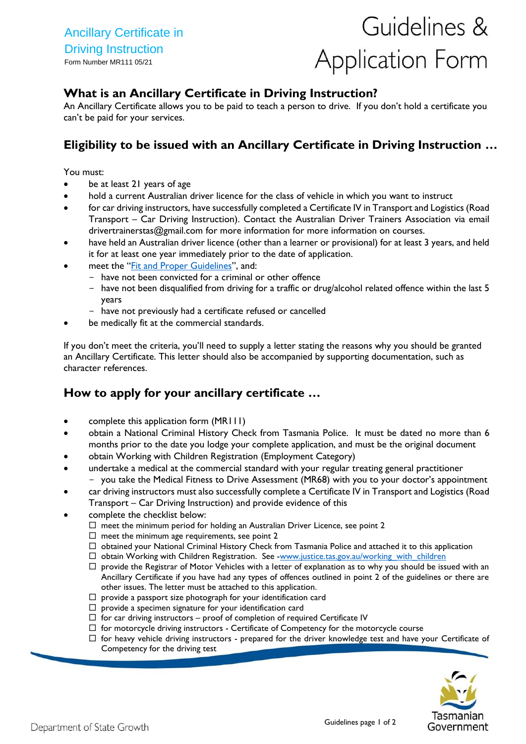# Guidelines & **Application Form**

## **What is an Ancillary Certificate in Driving Instruction?**

An Ancillary Certificate allows you to be paid to teach a person to drive. If you don't hold a certificate you can't be paid for your services.

# **Eligibility to be issued with an Ancillary Certificate in Driving Instruction …**

You must:

- be at least 21 years of age
- hold a current Australian driver licence for the class of vehicle in which you want to instruct
- for car driving instructors, have successfully completed a Certificate IV in Transport and Logistics (Road Transport – Car Driving Instruction). Contact the Australian Driver Trainers Association via email [drivertrainerstas@gmail.com](mailto:drivertrainerstas@gmail.com) for more information for more information on courses.
- have held an Australian driver licence (other than a learner or provisional) for at least 3 years, and held it for at least one year immediately prior to the date of application.
- meet the "[Fit and Proper Guidelines](http://www.transport.tas.gov.au/__data/assets/pdf_file/0016/123190/Ancillary_Certificate_-_Decision_Making_Guidelines.pdf)", and:
	- have not been convicted for a criminal or other offence
	- have not been disqualified from driving for a traffic or drug/alcohol related offence within the last 5 years
	- have not previously had a certificate refused or cancelled
- be medically fit at the commercial standards.

If you don't meet the criteria, you'll need to supply a letter stating the reasons why you should be granted an Ancillary Certificate. This letter should also be accompanied by supporting documentation, such as character references.

# **How to apply for your ancillary certificate …**

- complete this application form (MR111)
- obtain a National Criminal History Check from Tasmania Police. It must be dated no more than 6 months prior to the date you lodge your complete application, and must be the original document
- obtain Working with Children Registration (Employment Category)
- undertake a medical at the commercial standard with your regular treating general practitioner - you take the Medical Fitness to Drive Assessment (MR68) with you to your doctor's appointment
- car driving instructors must also successfully complete a Certificate IV in Transport and Logistics (Road Transport – Car Driving Instruction) and provide evidence of this
- complete the checklist below:
	- $\Box$  meet the minimum period for holding an Australian Driver Licence, see point 2
	- $\Box$  meet the minimum age requirements, see point 2
	- $\Box$  obtained your National Criminal History Check from Tasmania Police and attached it to this application
	- □ obtain Working with Children Registration. See [-www.justice.tas.gov.au/working\\_with\\_children](file:///C:/Users/ka-cornish/Desktop/Forms/Forms%202015/Licensing/www.justice.tas.gov.au/working_with_children)
	- $\Box$  provide the Registrar of Motor Vehicles with a letter of explanation as to why you should be issued with an Ancillary Certificate if you have had any types of offences outlined in point 2 of the guidelines or there are other issues. The letter must be attached to this application.
	- $\Box$  provide a passport size photograph for your identification card
	- $\square$  provide a specimen signature for your identification card
	- $\Box$  for car driving instructors proof of completion of required Certificate IV
	- $\Box$  for motorcycle driving instructors Certificate of Competency for the motorcycle course
	- $\Box$  for heavy vehicle driving instructors prepared for the driver knowledge test and have your Certificate of Competency for the driving test

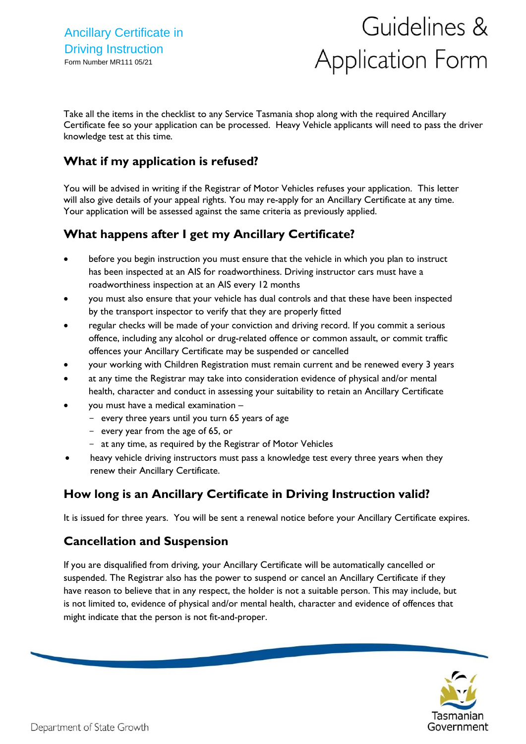# Guidelines & **Application Form**

Take all the items in the checklist to any Service Tasmania shop along with the required Ancillary Certificate fee so your application can be processed. Heavy Vehicle applicants will need to pass the driver knowledge test at this time.

# **What if my application is refused?**

You will be advised in writing if the Registrar of Motor Vehicles refuses your application. This letter will also give details of your appeal rights. You may re-apply for an Ancillary Certificate at any time. Your application will be assessed against the same criteria as previously applied.

# **What happens after I get my Ancillary Certificate?**

- before you begin instruction you must ensure that the vehicle in which you plan to instruct has been inspected at an AIS for roadworthiness. Driving instructor cars must have a roadworthiness inspection at an AIS every 12 months
- you must also ensure that your vehicle has dual controls and that these have been inspected by the transport inspector to verify that they are properly fitted
- regular checks will be made of your conviction and driving record. If you commit a serious offence, including any alcohol or drug-related offence or common assault, or commit traffic offences your Ancillary Certificate may be suspended or cancelled
- your working with Children Registration must remain current and be renewed every 3 years
- at any time the Registrar may take into consideration evidence of physical and/or mental health, character and conduct in assessing your suitability to retain an Ancillary Certificate
- you must have a medical examination
	- every three years until you turn 65 years of age
	- every year from the age of 65, or
	- at any time, as required by the Registrar of Motor Vehicles
- heavy vehicle driving instructors must pass a knowledge test every three years when they renew their Ancillary Certificate.

# **How long is an Ancillary Certificate in Driving Instruction valid?**

It is issued for three years. You will be sent a renewal notice before your Ancillary Certificate expires.

# **Cancellation and Suspension**

If you are disqualified from driving, your Ancillary Certificate will be automatically cancelled or suspended. The Registrar also has the power to suspend or cancel an Ancillary Certificate if they have reason to believe that in any respect, the holder is not a suitable person. This may include, but is not limited to, evidence of physical and/or mental health, character and evidence of offences that might indicate that the person is not fit-and-proper.

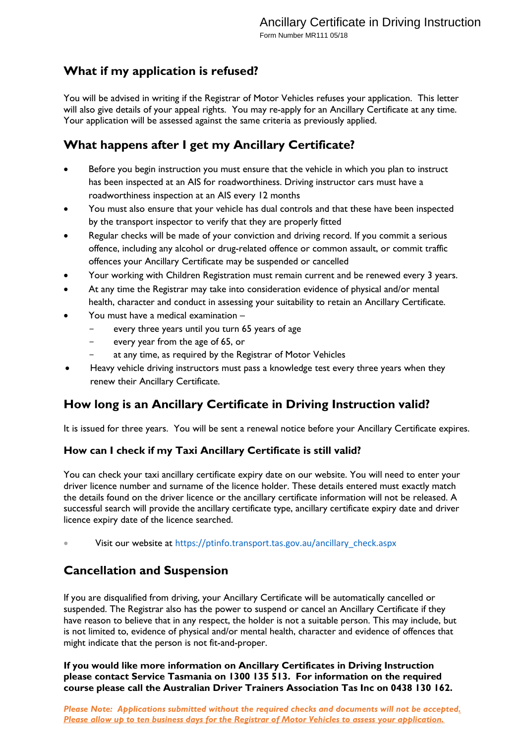# **What if my application is refused?**

You will be advised in writing if the Registrar of Motor Vehicles refuses your application. This letter will also give details of your appeal rights. You may re-apply for an Ancillary Certificate at any time. Your application will be assessed against the same criteria as previously applied.

# **What happens after I get my Ancillary Certificate?**

- Before you begin instruction you must ensure that the vehicle in which you plan to instruct has been inspected at an AIS for roadworthiness. Driving instructor cars must have a roadworthiness inspection at an AIS every 12 months
- You must also ensure that your vehicle has dual controls and that these have been inspected by the transport inspector to verify that they are properly fitted
- Regular checks will be made of your conviction and driving record. If you commit a serious offence, including any alcohol or drug-related offence or common assault, or commit traffic offences your Ancillary Certificate may be suspended or cancelled
- Your working with Children Registration must remain current and be renewed every 3 years.
- At any time the Registrar may take into consideration evidence of physical and/or mental health, character and conduct in assessing your suitability to retain an Ancillary Certificate.
- You must have a medical examination
	- every three years until you turn 65 years of age
	- every year from the age of 65, or
	- at any time, as required by the Registrar of Motor Vehicles
- Heavy vehicle driving instructors must pass a knowledge test every three years when they renew their Ancillary Certificate.

# **How long is an Ancillary Certificate in Driving Instruction valid?**

It is issued for three years. You will be sent a renewal notice before your Ancillary Certificate expires.

### **How can I check if my Taxi Ancillary Certificate is still valid?**

You can check your taxi ancillary certificate expiry date on our website. You will need to enter your driver licence number and surname of the licence holder. These details entered must exactly match the details found on the driver licence or the ancillary certificate information will not be released. A successful search will provide the ancillary certificate type, ancillary certificate expiry date and driver licence expiry date of the licence searched.

• Visit our website at [https://ptinfo.transport.tas.gov.au/ancillary\\_check.aspx](https://ptinfo.transport.tas.gov.au/ancillary_check.aspx)

# **Cancellation and Suspension**

If you are disqualified from driving, your Ancillary Certificate will be automatically cancelled or suspended. The Registrar also has the power to suspend or cancel an Ancillary Certificate if they have reason to believe that in any respect, the holder is not a suitable person. This may include, but is not limited to, evidence of physical and/or mental health, character and evidence of offences that might indicate that the person is not fit-and-proper.

**If you would like more information on Ancillary Certificates in Driving Instruction please contact Service Tasmania on 1300 135 513. For information on the required course please call the Australian Driver Trainers Association Tas Inc on 0438 130 162.**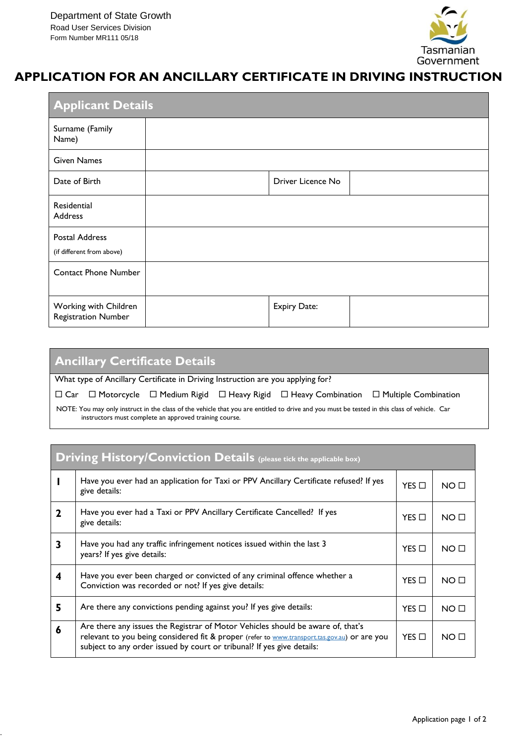.



# **APPLICATION FOR AN ANCILLARY CERTIFICATE IN DRIVING INSTRUCTION**

| <b>Applicant Details</b>                            |  |                     |  |  |  |  |
|-----------------------------------------------------|--|---------------------|--|--|--|--|
| Surname (Family<br>Name)                            |  |                     |  |  |  |  |
| <b>Given Names</b>                                  |  |                     |  |  |  |  |
| Date of Birth                                       |  | Driver Licence No   |  |  |  |  |
| Residential<br><b>Address</b>                       |  |                     |  |  |  |  |
| <b>Postal Address</b><br>(if different from above)  |  |                     |  |  |  |  |
| <b>Contact Phone Number</b>                         |  |                     |  |  |  |  |
| Working with Children<br><b>Registration Number</b> |  | <b>Expiry Date:</b> |  |  |  |  |

| <b>Ancillary Certificate Details</b>                                                                                                                                                                  |  |  |  |  |  |  |  |
|-------------------------------------------------------------------------------------------------------------------------------------------------------------------------------------------------------|--|--|--|--|--|--|--|
| What type of Ancillary Certificate in Driving Instruction are you applying for?                                                                                                                       |  |  |  |  |  |  |  |
| $\Box$ Car $\Box$ Motorcycle $\Box$ Medium Rigid $\Box$ Heavy Rigid $\Box$ Heavy Combination $\Box$ Multiple Combination                                                                              |  |  |  |  |  |  |  |
| NOTE: You may only instruct in the class of the vehicle that you are entitled to drive and you must be tested in this class of vehicle. Car<br>instructors must complete an approved training course. |  |  |  |  |  |  |  |

| <b>Driving History/Conviction Details</b> (please tick the applicable box) |                                                                                                                                                                                                                                                           |                 |                 |  |  |  |
|----------------------------------------------------------------------------|-----------------------------------------------------------------------------------------------------------------------------------------------------------------------------------------------------------------------------------------------------------|-----------------|-----------------|--|--|--|
|                                                                            | Have you ever had an application for Taxi or PPV Ancillary Certificate refused? If yes<br>give details:                                                                                                                                                   |                 | NO <sub>0</sub> |  |  |  |
| $\mathbf{2}$                                                               | Have you ever had a Taxi or PPV Ancillary Certificate Cancelled? If yes<br>give details:                                                                                                                                                                  | $YES$ $\Box$    | NO <sub>0</sub> |  |  |  |
| 3                                                                          | Have you had any traffic infringement notices issued within the last 3<br>years? If yes give details:                                                                                                                                                     | $YES$ $\square$ | NO <sub>0</sub> |  |  |  |
| 4                                                                          | Have you ever been charged or convicted of any criminal offence whether a<br>Conviction was recorded or not? If yes give details:                                                                                                                         | $YES$ $\Box$    | NO <sub>1</sub> |  |  |  |
| 5                                                                          | Are there any convictions pending against you? If yes give details:                                                                                                                                                                                       | $YES$ $\square$ | NO <sub>0</sub> |  |  |  |
| 6                                                                          | Are there any issues the Registrar of Motor Vehicles should be aware of, that's<br>relevant to you being considered fit & proper (refer to www.transport.tas.gov.au) or are you<br>subject to any order issued by court or tribunal? If yes give details: | $YES$ $\square$ | NO <sub>0</sub> |  |  |  |